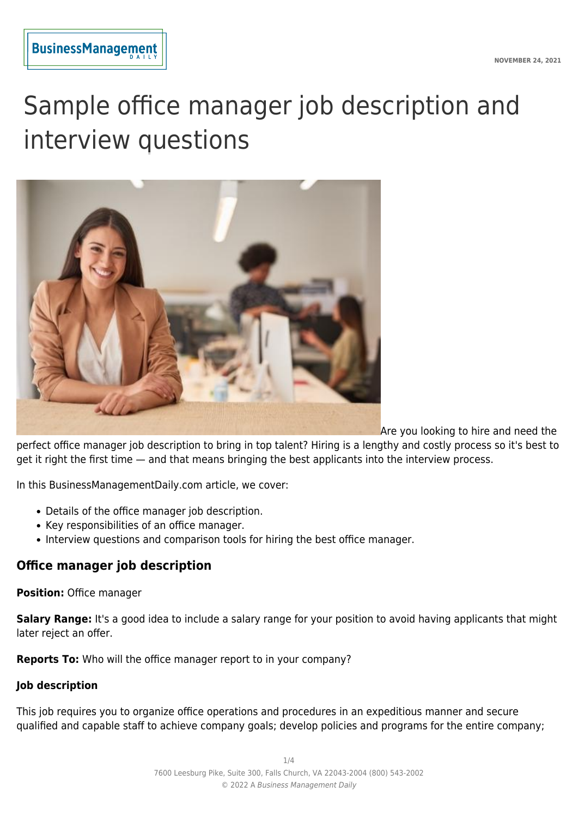

# Sample office manager job description and interview questions



Are you looking to hire and need the

perfect office manager job description to bring in top talent? Hiring is a lengthy and costly process so it's best to get it right the first time — and that means bringing the best applicants into the interview process.

In this BusinessManagementDaily.com article, we cover:

- Details of the office manager job description.
- Key responsibilities of an office manager.
- Interview questions and comparison tools for hiring the best office manager.

# **Office manager job description**

#### **Position:** Office manager

**Salary Range:** It's a good idea to include a salary range for your position to avoid having applicants that might later reject an offer.

**Reports To:** Who will the office manager report to in your company?

#### **Job description**

This job requires you to organize office operations and procedures in an expeditious manner and secure qualified and capable staff to achieve company goals; develop policies and programs for the entire company;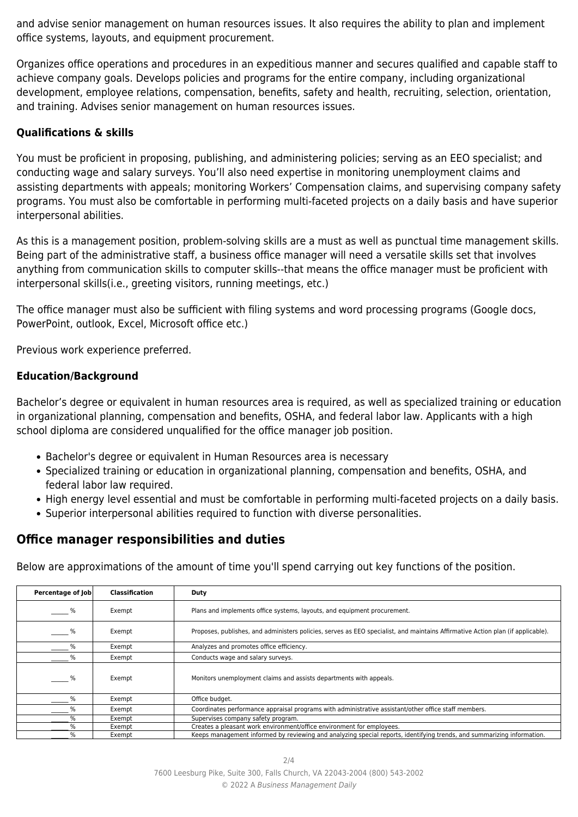and advise senior management on human resources issues. It also requires the ability to plan and implement office systems, layouts, and equipment procurement.

Organizes office operations and procedures in an expeditious manner and secures qualified and capable staff to achieve company goals. Develops policies and programs for the entire company, including organizational development, employee relations, compensation, benefits, safety and health, recruiting, selection, orientation, and training. Advises senior management on human resources issues.

### **Qualifications & skills**

You must be proficient in proposing, publishing, and administering policies; serving as an EEO specialist; and conducting wage and salary surveys. You'll also need expertise in monitoring unemployment claims and assisting departments with appeals; monitoring Workers' Compensation claims, and supervising company safety programs. You must also be comfortable in performing multi-faceted projects on a daily basis and have superior interpersonal abilities.

As this is a management position, problem-solving skills are a must as well as punctual time management skills. Being part of the administrative staff, a business office manager will need a versatile skills set that involves anything from communication skills to computer skills--that means the office manager must be proficient with interpersonal skills(i.e., greeting visitors, running meetings, etc.)

The office manager must also be sufficient with filing systems and word processing programs (Google docs, PowerPoint, outlook, Excel, Microsoft office etc.)

Previous work experience preferred.

#### **Education/Background**

Bachelor's degree or equivalent in human resources area is required, as well as specialized training or education in organizational planning, compensation and benefits, OSHA, and federal labor law. Applicants with a high school diploma are considered unqualified for the office manager job position.

- Bachelor's degree or equivalent in Human Resources area is necessary
- Specialized training or education in organizational planning, compensation and benefits, OSHA, and federal labor law required.
- High energy level essential and must be comfortable in performing multi-faceted projects on a daily basis.
- Superior interpersonal abilities required to function with diverse personalities.

## **Office manager responsibilities and duties**

Below are approximations of the amount of time you'll spend carrying out key functions of the position.

| Percentage of Job | Classification | Duty                                                                                                                            |
|-------------------|----------------|---------------------------------------------------------------------------------------------------------------------------------|
| %                 | Exempt         | Plans and implements office systems, layouts, and equipment procurement.                                                        |
| %                 | Exempt         | Proposes, publishes, and administers policies, serves as EEO specialist, and maintains Affirmative Action plan (if applicable). |
| %                 | Exempt         | Analyzes and promotes office efficiency.                                                                                        |
| %                 | Exempt         | Conducts wage and salary surveys.                                                                                               |
| %                 | Exempt         | Monitors unemployment claims and assists departments with appeals.                                                              |
| %                 | Exempt         | Office budget.                                                                                                                  |
| ℅                 | Exempt         | Coordinates performance appraisal programs with administrative assistant/other office staff members.                            |
| %                 | Exempt         | Supervises company safety program.                                                                                              |
| %                 | Exempt         | Creates a pleasant work environment/office environment for employees.                                                           |
| %                 | Exempt         | Keeps management informed by reviewing and analyzing special reports, identifying trends, and summarizing information.          |

7600 Leesburg Pike, Suite 300, Falls Church, VA 22043-2004 (800) 543-2002 © 2022 A Business Management Daily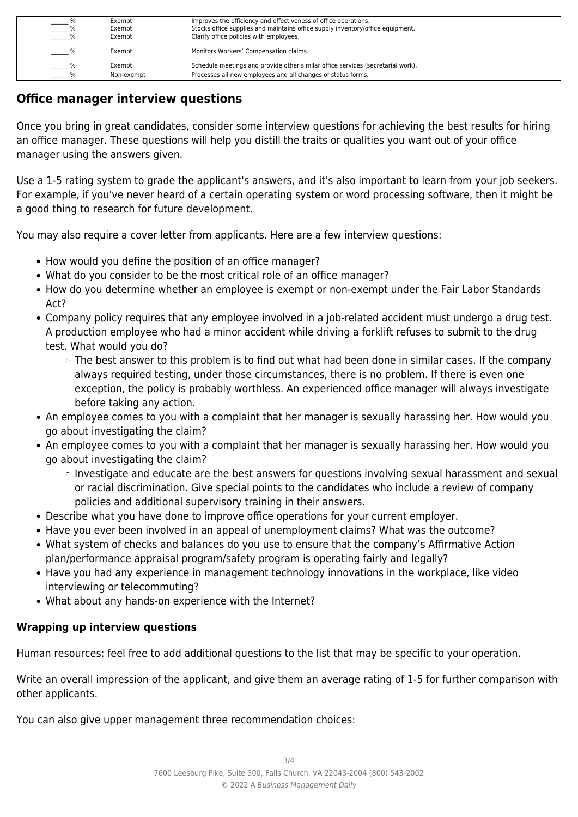|               | Exempt     | Improves the efficiency and effectiveness of office operations.                 |
|---------------|------------|---------------------------------------------------------------------------------|
|               | Exempt     | Stocks office supplies and maintains office supply inventory/office equipment.  |
|               | Exempt     | Clarify office policies with employees.                                         |
| $\frac{9}{6}$ | Exempt     | Monitors Workers' Compensation claims.                                          |
| %             | Exempt     | Schedule meetings and provide other similar office services (secretarial work). |
|               | Non-exempt | Processes all new employees and all changes of status forms.                    |

# **Office manager interview questions**

Once you bring in great candidates, consider some interview questions for achieving the best results for hiring an office manager. These questions will help you distill the traits or qualities you want out of your office manager using the answers given.

Use a 1-5 rating system to grade the applicant's answers, and it's also important to learn from your job seekers. For example, if you've never heard of a certain operating system or word processing software, then it might be a good thing to research for future development.

You may also require a cover letter from applicants. Here are a few interview questions:

- How would you define the position of an office manager?
- What do you consider to be the most critical role of an office manager?
- How do you determine whether an employee is exempt or non-exempt under the Fair Labor Standards Act?
- Company policy requires that any employee involved in a job-related accident must undergo a drug test. A production employee who had a minor accident while driving a forklift refuses to submit to the drug test. What would you do?
	- The best answer to this problem is to find out what had been done in similar cases. If the company always required testing, under those circumstances, there is no problem. If there is even one exception, the policy is probably worthless. An experienced office manager will always investigate before taking any action.
- An employee comes to you with a complaint that her manager is sexually harassing her. How would you go about investigating the claim?
- An employee comes to you with a complaint that her manager is sexually harassing her. How would you go about investigating the claim?
	- $\circ$  Investigate and educate are the best answers for questions involving sexual harassment and sexual or racial discrimination. Give special points to the candidates who include a review of company policies and additional supervisory training in their answers.
- Describe what you have done to improve office operations for your current employer.
- Have you ever been involved in an appeal of unemployment claims? What was the outcome?
- What system of checks and balances do you use to ensure that the company's Affirmative Action plan/performance appraisal program/safety program is operating fairly and legally?
- Have you had any experience in management technology innovations in the workplace, like video interviewing or telecommuting?
- What about any hands-on experience with the Internet?

## **Wrapping up interview questions**

Human resources: feel free to add additional questions to the list that may be specific to your operation.

Write an overall impression of the applicant, and give them an average rating of 1-5 for further comparison with other applicants.

You can also give upper management three recommendation choices: